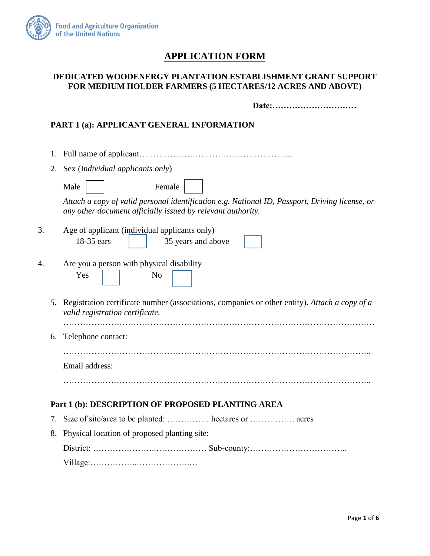

# **APPLICATION FORM**

## **DEDICATED WOODENERGY PLANTATION ESTABLISHMENT GRANT SUPPORT FOR MEDIUM HOLDER FARMERS (5 HECTARES/12 ACRES AND ABOVE)**

**Date:…………………………**

## **PART 1 (a): APPLICANT GENERAL INFORMATION**

1. Full name of applicant………………………………………………. 2. Sex (I*ndividual applicants only*) Male | Female *Attach a copy of valid personal identification e.g. National ID, Passport, Driving license, or any other document officially issued by relevant authority.*  3. Age of applicant (individual applicants only) 18-35 ears 18-35 years and above 4. Are you a person with physical disability Yes No *5.* Registration certificate number (associations, companies or other entity). *Attach a copy of a valid registration certificate.* ………………………………………………………………………………………………… 6. Telephone contact: ……………………………………………………………………………………………….. Email address: ……………………………………………………………………………………………….. **Part 1 (b): DESCRIPTION OF PROPOSED PLANTING AREA** 7. Size of site/area to be planted: …………… hectares or ……………. acres 8. Physical location of proposed planting site: District: …………………..……………… Sub-county:…………………………….. Village:……………..……………….…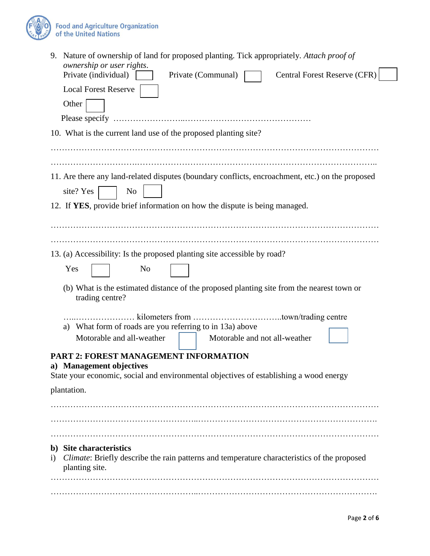

| 9. Nature of ownership of land for proposed planting. Tick appropriately. Attach proof of<br>ownership or user rights.                                             |  |  |  |  |  |  |  |  |  |
|--------------------------------------------------------------------------------------------------------------------------------------------------------------------|--|--|--|--|--|--|--|--|--|
| Private (individual)<br><b>Central Forest Reserve (CFR)</b><br>Private (Communal)                                                                                  |  |  |  |  |  |  |  |  |  |
| <b>Local Forest Reserve</b>                                                                                                                                        |  |  |  |  |  |  |  |  |  |
| Other                                                                                                                                                              |  |  |  |  |  |  |  |  |  |
|                                                                                                                                                                    |  |  |  |  |  |  |  |  |  |
| 10. What is the current land use of the proposed planting site?                                                                                                    |  |  |  |  |  |  |  |  |  |
|                                                                                                                                                                    |  |  |  |  |  |  |  |  |  |
|                                                                                                                                                                    |  |  |  |  |  |  |  |  |  |
| 11. Are there any land-related disputes (boundary conflicts, encroachment, etc.) on the proposed                                                                   |  |  |  |  |  |  |  |  |  |
| site? Yes<br>N <sub>o</sub>                                                                                                                                        |  |  |  |  |  |  |  |  |  |
| 12. If YES, provide brief information on how the dispute is being managed.                                                                                         |  |  |  |  |  |  |  |  |  |
|                                                                                                                                                                    |  |  |  |  |  |  |  |  |  |
|                                                                                                                                                                    |  |  |  |  |  |  |  |  |  |
|                                                                                                                                                                    |  |  |  |  |  |  |  |  |  |
| 13. (a) Accessibility: Is the proposed planting site accessible by road?                                                                                           |  |  |  |  |  |  |  |  |  |
| Yes<br>N <sub>0</sub>                                                                                                                                              |  |  |  |  |  |  |  |  |  |
| (b) What is the estimated distance of the proposed planting site from the nearest town or<br>trading centre?                                                       |  |  |  |  |  |  |  |  |  |
|                                                                                                                                                                    |  |  |  |  |  |  |  |  |  |
| What form of roads are you referring to in 13a) above<br>a)                                                                                                        |  |  |  |  |  |  |  |  |  |
| Motorable and all-weather<br>Motorable and not all-weather                                                                                                         |  |  |  |  |  |  |  |  |  |
| <b>PART 2: FOREST MANAGEMENT INFORMATION</b><br>a) Management objectives<br>State your economic, social and environmental objectives of establishing a wood energy |  |  |  |  |  |  |  |  |  |
| plantation.                                                                                                                                                        |  |  |  |  |  |  |  |  |  |
|                                                                                                                                                                    |  |  |  |  |  |  |  |  |  |
|                                                                                                                                                                    |  |  |  |  |  |  |  |  |  |
|                                                                                                                                                                    |  |  |  |  |  |  |  |  |  |
| b) Site characteristics<br>Climate: Briefly describe the rain patterns and temperature characteristics of the proposed<br>$\rm i)$<br>planting site.               |  |  |  |  |  |  |  |  |  |
|                                                                                                                                                                    |  |  |  |  |  |  |  |  |  |
|                                                                                                                                                                    |  |  |  |  |  |  |  |  |  |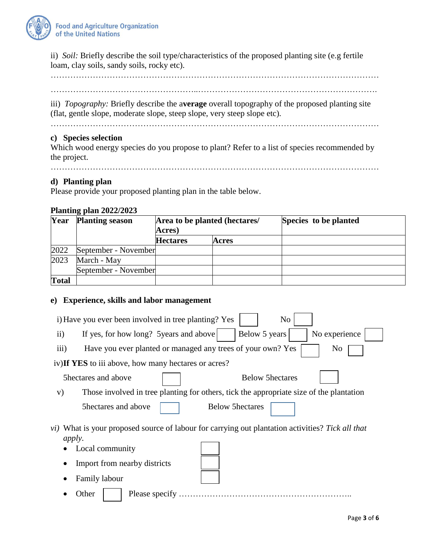

ii) *Soil:* Briefly describe the soil type/characteristics of the proposed planting site (e.g fertile loam, clay soils, sandy soils, rocky etc).

………………………………………………………………………………………………………

……………………………………………..……………………………………………………….

iii) *Topography:* Briefly describe the a**verage** overall topography of the proposed planting site (flat, gentle slope, moderate slope, steep slope, very steep slope etc).

………………………………………………………………………………………………………

### **c) Species selection**

Which wood energy species do you propose to plant? Refer to a list of species recommended by the project.

………………………………………………………………………………………………………

### **d) Planting plan**

Please provide your proposed planting plan in the table below.

#### **Planting plan 2022/2023**

| Year         | <b>Planting season</b> | <b>Acres</b> )  | Area to be planted (hectares/ | Species to be planted |  |  |
|--------------|------------------------|-----------------|-------------------------------|-----------------------|--|--|
|              |                        | <b>Hectares</b> | Acres                         |                       |  |  |
| 2022         | September - November   |                 |                               |                       |  |  |
| 2023         | March - May            |                 |                               |                       |  |  |
|              | September - November   |                 |                               |                       |  |  |
| <b>Total</b> |                        |                 |                               |                       |  |  |

#### **e) Experience, skills and labor management**

| i) Have you ever been involved in tree planting? Yes<br>N <sub>0</sub>                                                    |  |  |  |  |  |  |  |  |  |
|---------------------------------------------------------------------------------------------------------------------------|--|--|--|--|--|--|--|--|--|
| Below 5 years<br>No experience<br>If yes, for how long? 5 years and above<br>$\rm ii)$                                    |  |  |  |  |  |  |  |  |  |
| iii)<br>Have you ever planted or managed any trees of your own? Yes<br>No                                                 |  |  |  |  |  |  |  |  |  |
| iv) If YES to iii above, how many hectares or acres?                                                                      |  |  |  |  |  |  |  |  |  |
| 5hectares and above<br><b>Below 5hectares</b>                                                                             |  |  |  |  |  |  |  |  |  |
| Those involved in tree planting for others, tick the appropriate size of the plantation<br>V)                             |  |  |  |  |  |  |  |  |  |
| Shectares and above<br><b>Below 5hectares</b>                                                                             |  |  |  |  |  |  |  |  |  |
| <i>vi</i> ) What is your proposed source of labour for carrying out plantation activities? Tick all that<br><i>apply.</i> |  |  |  |  |  |  |  |  |  |
| Local community                                                                                                           |  |  |  |  |  |  |  |  |  |
| Import from nearby districts                                                                                              |  |  |  |  |  |  |  |  |  |
| <b>Family labour</b>                                                                                                      |  |  |  |  |  |  |  |  |  |
| Please specify<br>Other                                                                                                   |  |  |  |  |  |  |  |  |  |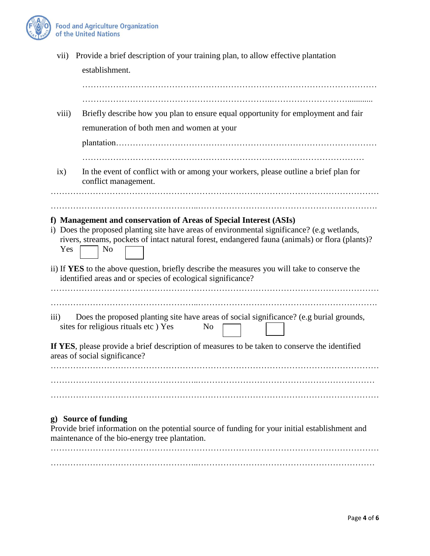

| rivers, streams, pockets of intact natural forest, endangered fauna (animals) or flora (plants)?                                                                          |  |  |  |  |  |  |
|---------------------------------------------------------------------------------------------------------------------------------------------------------------------------|--|--|--|--|--|--|
|                                                                                                                                                                           |  |  |  |  |  |  |
| If YES, please provide a brief description of measures to be taken to conserve the identified<br>areas of social significance?                                            |  |  |  |  |  |  |
|                                                                                                                                                                           |  |  |  |  |  |  |
|                                                                                                                                                                           |  |  |  |  |  |  |
|                                                                                                                                                                           |  |  |  |  |  |  |
| g) Source of funding<br>Provide brief information on the potential source of funding for your initial establishment and<br>maintenance of the bio-energy tree plantation. |  |  |  |  |  |  |
|                                                                                                                                                                           |  |  |  |  |  |  |

……………………………………………..………………………………………………………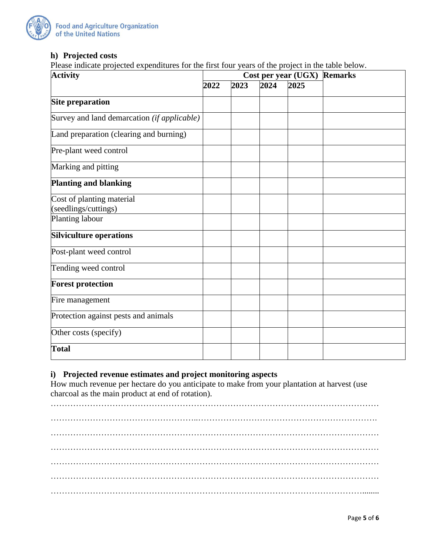

## **h) Projected costs**

Please indicate projected expenditures for the first four years of the project in the table below.

| <b>Activity</b>                                   |      |      | Cost per year (UGX) | <b>Remarks</b> |  |
|---------------------------------------------------|------|------|---------------------|----------------|--|
|                                                   | 2022 | 2023 | 2024                | 2025           |  |
| <b>Site preparation</b>                           |      |      |                     |                |  |
| Survey and land demarcation (if applicable)       |      |      |                     |                |  |
| Land preparation (clearing and burning)           |      |      |                     |                |  |
| Pre-plant weed control                            |      |      |                     |                |  |
| Marking and pitting                               |      |      |                     |                |  |
| <b>Planting and blanking</b>                      |      |      |                     |                |  |
| Cost of planting material<br>(seedlings/cuttings) |      |      |                     |                |  |
| Planting labour                                   |      |      |                     |                |  |
| <b>Silviculture operations</b>                    |      |      |                     |                |  |
| Post-plant weed control                           |      |      |                     |                |  |
| Tending weed control                              |      |      |                     |                |  |
| <b>Forest protection</b>                          |      |      |                     |                |  |
| Fire management                                   |      |      |                     |                |  |
| Protection against pests and animals              |      |      |                     |                |  |
| Other costs (specify)                             |      |      |                     |                |  |
| <b>Total</b>                                      |      |      |                     |                |  |

## **i) Projected revenue estimates and project monitoring aspects**

How much revenue per hectare do you anticipate to make from your plantation at harvest (use charcoal as the main product at end of rotation).

……………………………………………………………………………………………………… ……………………………………………..………………………………………………………. ……………………………………………………………………………………………………… ……………………………………………………………………………………………………… ……………………………………………………………………………………………………… ……………………………………………………………………………………………………… …………………………………………………………………………………………………........